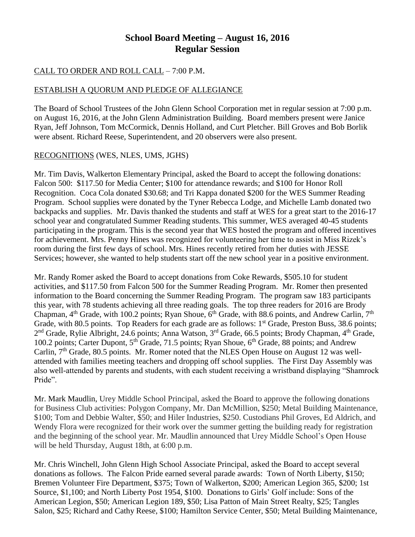## **School Board Meeting – August 16, 2016 Regular Session**

## CALL TO ORDER AND ROLL CALL – 7:00 P.M.

## ESTABLISH A QUORUM AND PLEDGE OF ALLEGIANCE

The Board of School Trustees of the John Glenn School Corporation met in regular session at 7:00 p.m. on August 16, 2016, at the John Glenn Administration Building. Board members present were Janice Ryan, Jeff Johnson, Tom McCormick, Dennis Holland, and Curt Pletcher. Bill Groves and Bob Borlik were absent. Richard Reese, Superintendent, and 20 observers were also present.

## RECOGNITIONS (WES, NLES, UMS, JGHS)

Mr. Tim Davis, Walkerton Elementary Principal, asked the Board to accept the following donations: Falcon 500: \$117.50 for Media Center; \$100 for attendance rewards; and \$100 for Honor Roll Recognition. Coca Cola donated \$30.68; and Tri Kappa donated \$200 for the WES Summer Reading Program. School supplies were donated by the Tyner Rebecca Lodge, and Michelle Lamb donated two backpacks and supplies. Mr. Davis thanked the students and staff at WES for a great start to the 2016-17 school year and congratulated Summer Reading students. This summer, WES averaged 40-45 students participating in the program. This is the second year that WES hosted the program and offered incentives for achievement. Mrs. Penny Hines was recognized for volunteering her time to assist in Miss Rizek's room during the first few days of school. Mrs. Hines recently retired from her duties with JESSE Services; however, she wanted to help students start off the new school year in a positive environment.

Mr. Randy Romer asked the Board to accept donations from Coke Rewards, \$505.10 for student activities, and \$117.50 from Falcon 500 for the Summer Reading Program. Mr. Romer then presented information to the Board concerning the Summer Reading Program. The program saw 183 participants this year, with 78 students achieving all three reading goals. The top three readers for 2016 are Brody Chapman, 4<sup>th</sup> Grade, with 100.2 points; Ryan Shoue, 6<sup>th</sup> Grade, with 88.6 points, and Andrew Carlin, 7<sup>th</sup> Grade, with 80.5 points. Top Readers for each grade are as follows: 1<sup>st</sup> Grade, Preston Buss, 38.6 points; 2<sup>nd</sup> Grade, Rylie Albright, 24.6 points; Anna Watson, 3<sup>rd</sup> Grade, 66.5 points; Brody Chapman, 4<sup>th</sup> Grade, 100.2 points; Carter Dupont, 5<sup>th</sup> Grade, 71.5 points; Ryan Shoue, 6<sup>th</sup> Grade, 88 points; and Andrew Carlin,  $7<sup>th</sup>$  Grade, 80.5 points. Mr. Romer noted that the NLES Open House on August 12 was wellattended with families meeting teachers and dropping off school supplies. The First Day Assembly was also well-attended by parents and students, with each student receiving a wristband displaying "Shamrock Pride".

Mr. Mark Maudlin, Urey Middle School Principal, asked the Board to approve the following donations for Business Club activities: Polygon Company, Mr. Dan McMillion, \$250; Metal Building Maintenance, \$100; Tom and Debbie Walter, \$50; and Hiler Industries, \$250. Custodians Phil Groves, Ed Aldrich, and Wendy Flora were recognized for their work over the summer getting the building ready for registration and the beginning of the school year. Mr. Maudlin announced that Urey Middle School's Open House will be held Thursday, August 18th, at 6:00 p.m.

Mr. Chris Winchell, John Glenn High School Associate Principal, asked the Board to accept several donations as follows. The Falcon Pride earned several parade awards: Town of North Liberty, \$150; Bremen Volunteer Fire Department, \$375; Town of Walkerton, \$200; American Legion 365, \$200; 1st Source, \$1,100; and North Liberty Post 1954, \$100. Donations to Girls' Golf include: Sons of the American Legion, \$50; American Legion 189, \$50; Lisa Patton of Main Street Realty, \$25; Tangles Salon, \$25; Richard and Cathy Reese, \$100; Hamilton Service Center, \$50; Metal Building Maintenance,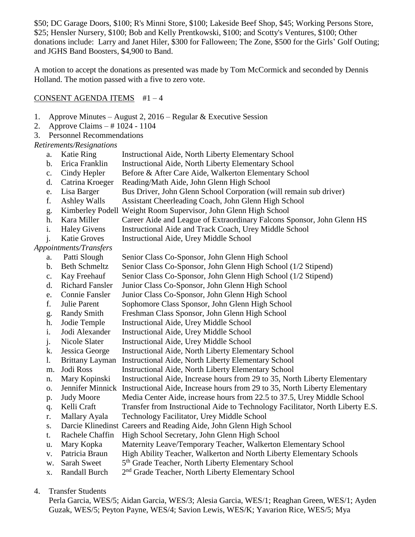\$50; DC Garage Doors, \$100; R's Minni Store, \$100; Lakeside Beef Shop, \$45; Working Persons Store, \$25; Hensler Nursery, \$100; Bob and Kelly Prentkowski, \$100; and Scotty's Ventures, \$100; Other donations include: Larry and Janet Hiler, \$300 for Falloween; The Zone, \$500 for the Girls' Golf Outing; and JGHS Band Boosters, \$4,900 to Band.

A motion to accept the donations as presented was made by Tom McCormick and seconded by Dennis Holland. The motion passed with a five to zero vote.

#### CONSENT AGENDA ITEMS #1 – 4

- 1. Approve Minutes August 2, 2016 Regular & Executive Session
- 2. Approve Claims # 1024 1104
- 3. Personnel Recommendations

*Retirements/Resignations*

- a. Katie Ring Instructional Aide, North Liberty Elementary School
- b. Erica Franklin Instructional Aide, North Liberty Elementary School
- c. Cindy Hepler Before & After Care Aide, Walkerton Elementary School
- d. Catrina Kroeger Reading/Math Aide, John Glenn High School
- e. Lisa Barger Bus Driver, John Glenn School Corporation (will remain sub driver)
- f. Ashley Walls Assistant Cheerleading Coach, John Glenn High School
- g. Kimberley Podell Weight Room Supervisor, John Glenn High School
- h. Kara Miller Career Aide and League of Extraordinary Falcons Sponsor, John Glenn HS
- i. Haley Givens Instructional Aide and Track Coach, Urey Middle School
- j. Katie Groves Instructional Aide, Urey Middle School

*Appointments/Transfers*

- a. Patti Slough Senior Class Co-Sponsor, John Glenn High School
- b. Beth Schmeltz Senior Class Co-Sponsor, John Glenn High School (1/2 Stipend)
- c. Kay Freehauf Senior Class Co-Sponsor, John Glenn High School (1/2 Stipend)
- d. Richard Fansler Junior Class Co-Sponsor, John Glenn High School
- e. Connie Fansler Junior Class Co-Sponsor, John Glenn High School
- f. Julie Parent Sophomore Class Sponsor, John Glenn High School
- g. Randy Smith Freshman Class Sponsor, John Glenn High School
- h. Jodie Temple Instructional Aide, Urey Middle School
- i. Jodi Alexander Instructional Aide, Urey Middle School
- j. Nicole Slater Instructional Aide, Urey Middle School
- k. Jessica George Instructional Aide, North Liberty Elementary School
- l. Brittany Layman Instructional Aide, North Liberty Elementary School
- m. Jodi Ross Instructional Aide, North Liberty Elementary School
- n. Mary Kopinski Instructional Aide, Increase hours from 29 to 35, North Liberty Elementary
- o. Jennifer Minnick Instructional Aide, Increase hours from 29 to 35, North Liberty Elementary
- p. Judy Moore Media Center Aide, increase hours from 22.5 to 37.5, Urey Middle School
- q. Kelli Craft Transfer from Instructional Aide to Technology Facilitator, North Liberty E.S.
- r. Mallary Ayala Technology Facilitator, Urey Middle School
- s. Darcie Klinedinst Careers and Reading Aide, John Glenn High School
- t. Rachele Chaffin High School Secretary, John Glenn High School
- u. Mary Kopka Maternity Leave/Temporary Teacher, Walkerton Elementary School
- v. Patricia Braun High Ability Teacher, Walkerton and North Liberty Elementary Schools
- w. Sarah Sweet 5<sup>th</sup> Grade Teacher, North Liberty Elementary School
- x. Randall Burch 2<sup>nd</sup> Grade Teacher, North Liberty Elementary School

4. Transfer Students

Perla Garcia, WES/5; Aidan Garcia, WES/3; Alesia Garcia, WES/1; Reaghan Green, WES/1; Ayden Guzak, WES/5; Peyton Payne, WES/4; Savion Lewis, WES/K; Yavarion Rice, WES/5; Mya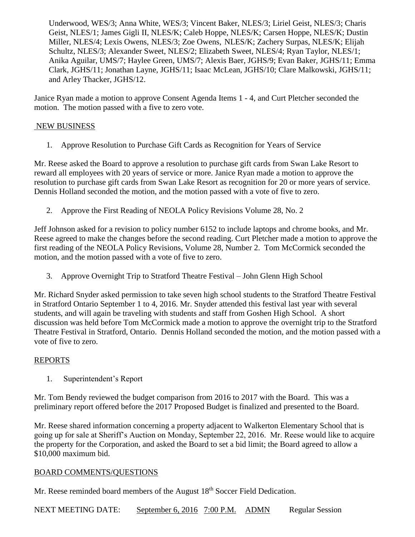Underwood, WES/3; Anna White, WES/3; Vincent Baker, NLES/3; Liriel Geist, NLES/3; Charis Geist, NLES/1; James Gigli II, NLES/K; Caleb Hoppe, NLES/K; Carsen Hoppe, NLES/K; Dustin Miller, NLES/4; Lexis Owens, NLES/3; Zoe Owens, NLES/K; Zachery Surpas, NLES/K; Elijah Schultz, NLES/3; Alexander Sweet, NLES/2; Elizabeth Sweet, NLES/4; Ryan Taylor, NLES/1; Anika Aguilar, UMS/7; Haylee Green, UMS/7; Alexis Baer, JGHS/9; Evan Baker, JGHS/11; Emma Clark, JGHS/11; Jonathan Layne, JGHS/11; Isaac McLean, JGHS/10; Clare Malkowski, JGHS/11; and Arley Thacker, JGHS/12.

Janice Ryan made a motion to approve Consent Agenda Items 1 - 4, and Curt Pletcher seconded the motion. The motion passed with a five to zero vote.

## NEW BUSINESS

1. Approve Resolution to Purchase Gift Cards as Recognition for Years of Service

Mr. Reese asked the Board to approve a resolution to purchase gift cards from Swan Lake Resort to reward all employees with 20 years of service or more. Janice Ryan made a motion to approve the resolution to purchase gift cards from Swan Lake Resort as recognition for 20 or more years of service. Dennis Holland seconded the motion, and the motion passed with a vote of five to zero.

2. Approve the First Reading of NEOLA Policy Revisions Volume 28, No. 2

Jeff Johnson asked for a revision to policy number 6152 to include laptops and chrome books, and Mr. Reese agreed to make the changes before the second reading. Curt Pletcher made a motion to approve the first reading of the NEOLA Policy Revisions, Volume 28, Number 2. Tom McCormick seconded the motion, and the motion passed with a vote of five to zero.

3. Approve Overnight Trip to Stratford Theatre Festival – John Glenn High School

Mr. Richard Snyder asked permission to take seven high school students to the Stratford Theatre Festival in Stratford Ontario September 1 to 4, 2016. Mr. Snyder attended this festival last year with several students, and will again be traveling with students and staff from Goshen High School. A short discussion was held before Tom McCormick made a motion to approve the overnight trip to the Stratford Theatre Festival in Stratford, Ontario. Dennis Holland seconded the motion, and the motion passed with a vote of five to zero.

## REPORTS

1. Superintendent's Report

Mr. Tom Bendy reviewed the budget comparison from 2016 to 2017 with the Board. This was a preliminary report offered before the 2017 Proposed Budget is finalized and presented to the Board.

Mr. Reese shared information concerning a property adjacent to Walkerton Elementary School that is going up for sale at Sheriff's Auction on Monday, September 22, 2016. Mr. Reese would like to acquire the property for the Corporation, and asked the Board to set a bid limit; the Board agreed to allow a \$10,000 maximum bid.

## BOARD COMMENTS/QUESTIONS

Mr. Reese reminded board members of the August 18<sup>th</sup> Soccer Field Dedication.

NEXT MEETING DATE: September 6, 2016 7:00 P.M. ADMN Regular Session